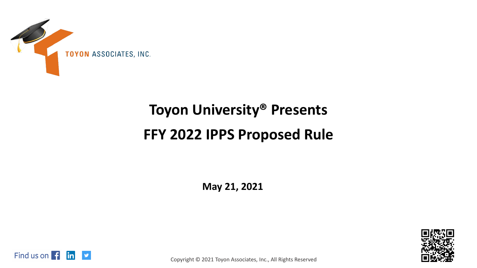

# **Toyon University® Presents FFY 2022 IPPS Proposed Rule**

**May 21, 2021**





Copyright © 2021 Toyon Associates, Inc., All Rights Reserved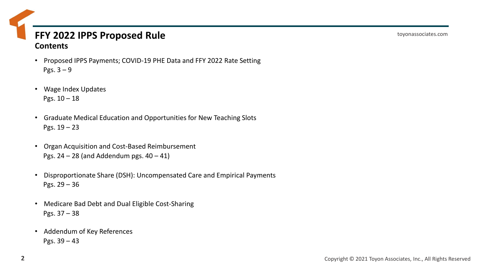#### **FFY 2022 IPPS Proposed Rule Contents**

- Proposed IPPS Payments; COVID-19 PHE Data and FFY 2022 Rate Setting Pgs.  $3 - 9$
- Wage Index Updates Pgs.  $10 - 18$
- Graduate Medical Education and Opportunities for New Teaching Slots Pgs. 19 – 23
- Organ Acquisition and Cost-Based Reimbursement Pgs.  $24 - 28$  (and Addendum pgs.  $40 - 41$ )
- Disproportionate Share (DSH): Uncompensated Care and Empirical Payments Pgs. 29 – 36
- Medicare Bad Debt and Dual Eligible Cost-Sharing Pgs. 37 – 38
- Addendum of Key References Pgs. 39 – 43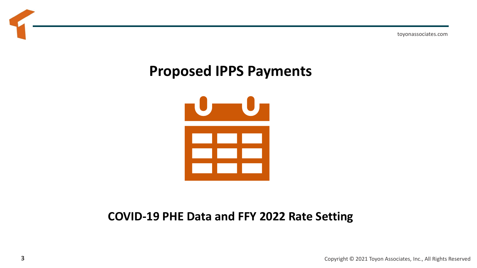toyonassociates.com

## **Proposed IPPS Payments**



### **COVID-19 PHE Data and FFY 2022 Rate Setting**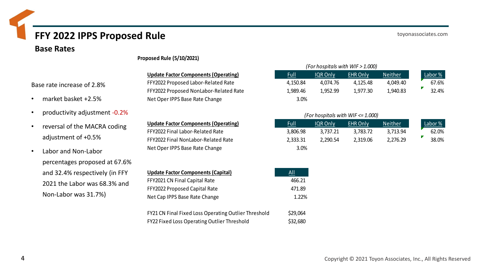#### toyonassociates.com

#### **Base Rates**

#### **Update Factor Components (Operating)** FFY2022 Proposed Labor-Related Rate FFY2022 Proposed NonLabor-Related Rate

Net Oper IPPS Base Rate Change

**Proposed Rule (5/10/2021)**

**Update Factor Components (Operating)** FFY2022 Final Labor-Related Rate FFY2022 Final NonLabor-Related Rate Net Oper IPPS Base Rate Change

| <b>Update Factor Components (Capital)</b>            | All      |
|------------------------------------------------------|----------|
| FFY2021 CN Final Capital Rate                        | 466.21   |
| FFY2022 Proposed Capital Rate                        | 471.89   |
| Net Cap IPPS Base Rate Change                        | 1.22%    |
| FY21 CN Final Fixed Loss Operating Outlier Threshold | \$29,064 |

|             |          | (For hospitals with WIF > 1.000) |                |         |
|-------------|----------|----------------------------------|----------------|---------|
| <u>Full</u> | IQR Only | <b>EHR Only</b>                  | <b>Neither</b> | Labor % |
| 4,150.84    | 4,074.76 | 4,125.48                         | 4,049.40       | 67.6%   |
| 1,989.46    | 1,952.99 | 1,977.30                         | 1,940.83       | 32.4%   |
| 3.0%        |          |                                  |                |         |

#### *(For hospitals with WIF <= 1.000)*

| <u>Full</u> | IQR Only | <b>EHR Only</b> | <b>Neither</b> | Labor % |
|-------------|----------|-----------------|----------------|---------|
| 3,806.98    | 3.737.21 | 3.783.72        | 3.713.94       | 62.0%   |
| 2,333.31    | 2.290.54 | 2,319.06        | 2,276.29       | 38.0%   |
| 3.0%        |          |                 |                |         |

| <b>Update Factor Components (Capital)</b>            | All      |
|------------------------------------------------------|----------|
| FFY2021 CN Final Capital Rate                        | 466.21   |
| FFY2022 Proposed Capital Rate                        | 471.89   |
| Net Cap IPPS Base Rate Change                        | 1.22%    |
| FY21 CN Final Fixed Loss Operating Outlier Threshold | \$29,064 |
| <b>FY22 Fixed Loss Operating Outlier Threshold</b>   | \$32,680 |

- market basket +2.5%
- productivity adjustment -0.2%
- reversal of the MACRA coding adjustment of +0.5%
- Labor and Non-Labor percentages proposed at 67.6% and 32.4% respectively (in FFY 2021 the Labor was 68.3% and Non-Labor was 31.7%)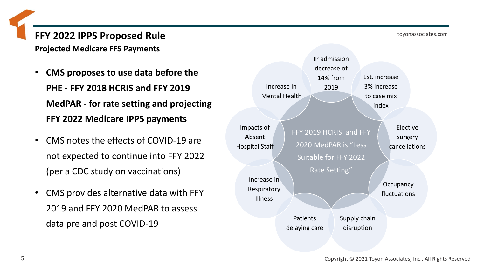**Projected Medicare FFS Payments** 

- **CMS proposes to use data before the PHE - FFY 2018 HCRIS and FFY 2019 MedPAR - for rate setting and projecting FFY 2022 Medicare IPPS payments**
- CMS notes the effects of COVID-19 are not expected to continue into FFY 2022 (per a CDC study on vaccinations)
- CMS provides alternative data with FFY 2019 and FFY 2020 MedPAR to assess data pre and post COVID-19

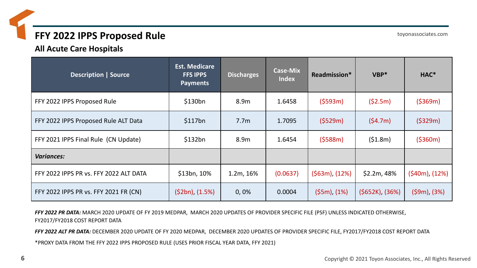**All Acute Care Hospitals**

| <b>Description   Source</b>            | <b>Est. Medicare</b><br><b>FFS IPPS</b><br><b>Payments</b> | <b>Discharges</b> | <b>Case-Mix</b><br><b>Index</b> | Readmission*       | $VBP*$            | HAC*             |
|----------------------------------------|------------------------------------------------------------|-------------------|---------------------------------|--------------------|-------------------|------------------|
| FFY 2022 IPPS Proposed Rule            | \$130bn                                                    | 8.9m              | 1.6458                          | ( \$593m)          | (52.5m)           | ( \$369m)        |
| FFY 2022 IPPS Proposed Rule ALT Data   | \$117bn                                                    | 7.7 <sub>m</sub>  | 1.7095                          | (5529m)            | (54.7m)           | (5329m)          |
| FFY 2021 IPPS Final Rule (CN Update)   | \$132bn                                                    | 8.9m              | 1.6454                          | (5588m)            | (51.8m)           | ( \$360m)        |
| <b>Variances:</b>                      |                                                            |                   |                                 |                    |                   |                  |
| FFY 2022 IPPS PR vs. FFY 2022 ALT DATA | \$13bn, 10%                                                | 1.2m, 16%         | (0.0637)                        | $(563m)$ , $(12%)$ | \$2.2m, 48%       | (\$40m), (12%)   |
| FFY 2022 IPPS PR vs. FFY 2021 FR (CN)  | $(52bn)$ , $(1.5%)$                                        | 0,0%              | 0.0004                          | $(55m)$ , $(1%)$   | $(5652K), (36\%)$ | $(59m)$ , $(3%)$ |

*FFY 2022 PR DATA:* MARCH 2020 UPDATE OF FY 2019 MEDPAR, MARCH 2020 UPDATES OF PROVIDER SPECIFIC FILE (PSF) UNLESS INDICATED OTHERWISE, FY2017/FY2018 COST REPORT DATA

*FFY 2022 ALT PR DATA:* DECEMBER 2020 UPDATE OF FY 2020 MEDPAR, DECEMBER 2020 UPDATES OF PROVIDER SPECIFIC FILE, FY2017/FY2018 COST REPORT DATA

\*PROXY DATA FROM THE FFY 2022 IPPS PROPOSED RULE (USES PRIOR FISCAL YEAR DATA, FFY 2021)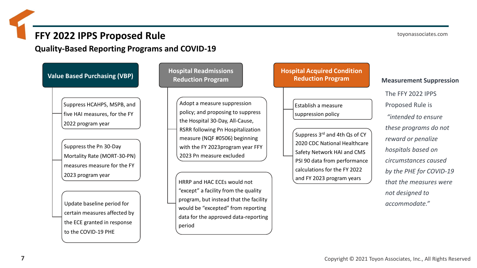**Quality-Based Reporting Programs and COVID-19**



toyonassociates.com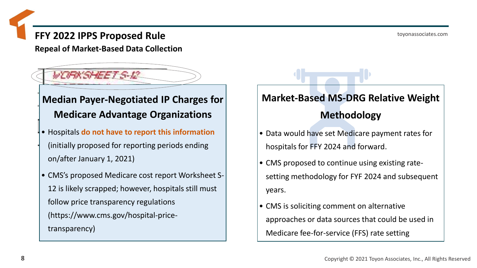toyonassociates.com

### **FFY 2022 IPPS Proposed Rule**

**Repeal of Market-Based Data Collection**

### WORKSHEETS-R

### **Median Payer-Negotiated IP Charges for Medicare Advantage Organizations**

- Hospitals **do not have to report this information**  (initially proposed for reporting periods ending on/after January 1, 2021)
- CMS's proposed Medicare cost report Worksheet S-12 is likely scrapped; however, hospitals still must follow price transparency regulations (https://www.cms.gov/hospital-pricetransparency)

### **Market-Based MS-DRG Relative Weight**

### **Methodology**

- Data would have set Medicare payment rates for hospitals for FFY 2024 and forward.
- CMS proposed to continue using existing ratesetting methodology for FYF 2024 and subsequent years.
- CMS is soliciting comment on alternative approaches or data sources that could be used in Medicare fee-for-service (FFS) rate setting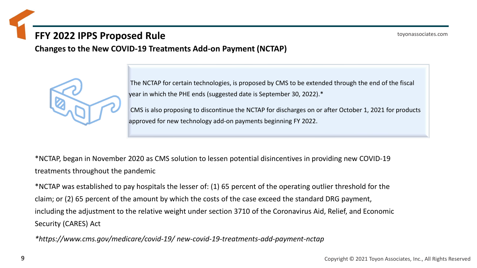**Changes to the New COVID-19 Treatments Add-on Payment (NCTAP)**

The NCTAP for certain technologies, is proposed by CMS to be extended through the end of the fiscal year in which the PHE ends (suggested date is September 30, 2022).\*

CMS is also proposing to discontinue the NCTAP for discharges on or after October 1, 2021 for products approved for new technology add-on payments beginning FY 2022.

\*NCTAP, began in November 2020 as CMS solution to lessen potential disincentives in providing new COVID-19 treatments throughout the pandemic

\*NCTAP was established to pay hospitals the lesser of: (1) 65 percent of the operating outlier threshold for the claim; or (2) 65 percent of the amount by which the costs of the case exceed the standard DRG payment, including the adjustment to the relative weight under section 3710 of the Coronavirus Aid, Relief, and Economic Security (CARES) Act

*\*https://www.cms.gov/medicare/covid-19/ new-covid-19-treatments-add-payment-nctap*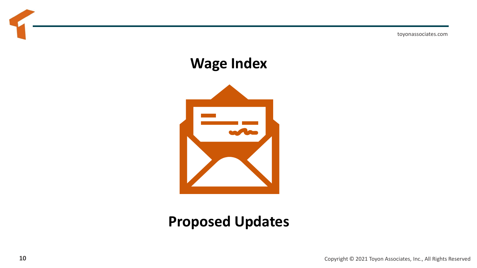toyonassociates.com

## **Wage Index**



## **Proposed Updates**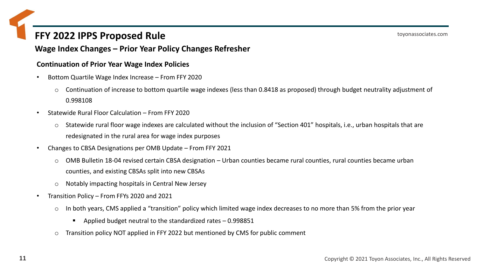#### **Wage Index Changes – Prior Year Policy Changes Refresher**

#### **Continuation of Prior Year Wage Index Policies**

- Bottom Quartile Wage Index Increase From FFY 2020
	- o Continuation of increase to bottom quartile wage indexes (less than 0.8418 as proposed) through budget neutrality adjustment of 0.998108
- Statewide Rural Floor Calculation From FFY 2020
	- o Statewide rural floor wage indexes are calculated without the inclusion of "Section 401" hospitals, i.e., urban hospitals that are redesignated in the rural area for wage index purposes
- Changes to CBSA Designations per OMB Update From FFY 2021
	- o OMB Bulletin 18-04 revised certain CBSA designation Urban counties became rural counties, rural counties became urban counties, and existing CBSAs split into new CBSAs
	- o Notably impacting hospitals in Central New Jersey
- Transition Policy From FFYs 2020 and 2021
	- o In both years, CMS applied a "transition" policy which limited wage index decreases to no more than 5% from the prior year
		- Applied budget neutral to the standardized rates 0.998851
	- o Transition policy NOT applied in FFY 2022 but mentioned by CMS for public comment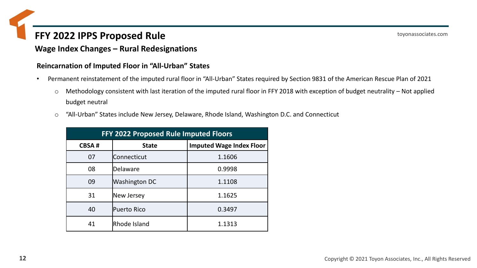#### **Wage Index Changes – Rural Redesignations**

#### **Reincarnation of Imputed Floor in "All-Urban" States**

- Permanent reinstatement of the imputed rural floor in "All-Urban" States required by Section 9831 of the American Rescue Plan of 2021
	- o Methodology consistent with last iteration of the imputed rural floor in FFY 2018 with exception of budget neutrality Not applied budget neutral
	- o "All-Urban" States include New Jersey, Delaware, Rhode Island, Washington D.C. and Connecticut

| FFY 2022 Proposed Rule Imputed Floors |                      |                                 |  |  |
|---------------------------------------|----------------------|---------------------------------|--|--|
| <b>CBSA#</b>                          | <b>State</b>         | <b>Imputed Wage Index Floor</b> |  |  |
| 07                                    | Connecticut          | 1.1606                          |  |  |
| 08                                    | Delaware             | 0.9998                          |  |  |
| 09                                    | <b>Washington DC</b> | 1.1108                          |  |  |
| 31                                    | New Jersey           | 1.1625                          |  |  |
| 40                                    | Puerto Rico          | 0.3497                          |  |  |
| 41                                    | Rhode Island         | 1.1313                          |  |  |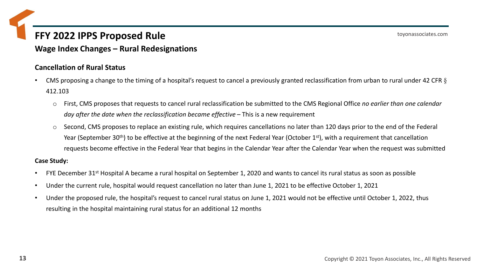**Wage Index Changes – Rural Redesignations**

#### **Cancellation of Rural Status**

- CMS proposing a change to the timing of a hospital's request to cancel a previously granted reclassification from urban to rural under 42 CFR  $\S$ 412.103
	- o First, CMS proposes that requests to cancel rural reclassification be submitted to the CMS Regional Office *no earlier than one calendar day after the date when the reclassification became effective* – This is a new requirement
	- o Second, CMS proposes to replace an existing rule, which requires cancellations no later than 120 days prior to the end of the Federal Year (September 30<sup>th</sup>) to be effective at the beginning of the next Federal Year (October 1<sup>st</sup>), with a requirement that cancellation requests become effective in the Federal Year that begins in the Calendar Year after the Calendar Year when the request was submitted

#### **Case Study:**

- FYE December 31<sup>st</sup> Hospital A became a rural hospital on September 1, 2020 and wants to cancel its rural status as soon as possible
- Under the current rule, hospital would request cancellation no later than June 1, 2021 to be effective October 1, 2021
- Under the proposed rule, the hospital's request to cancel rural status on June 1, 2021 would not be effective until October 1, 2022, thus resulting in the hospital maintaining rural status for an additional 12 months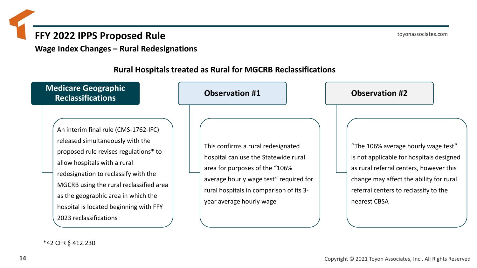**Wage Index Changes – Rural Redesignations**

#### **Rural Hospitals treated as Rural for MGCRB Reclassifications**

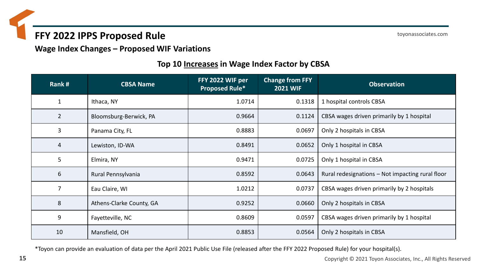toyonassociates.com

#### **Wage Index Changes – Proposed WIF Variations**

#### **Top 10 Increases in Wage Index Factor by CBSA**

| Rank#          | <b>CBSA Name</b>         | FFY 2022 WIF per<br><b>Proposed Rule*</b> | <b>Change from FFY</b><br><b>2021 WIF</b> | <b>Observation</b>                               |
|----------------|--------------------------|-------------------------------------------|-------------------------------------------|--------------------------------------------------|
| $\mathbf{1}$   | Ithaca, NY               | 1.0714                                    | 0.1318                                    | 1 hospital controls CBSA                         |
| $\overline{2}$ | Bloomsburg-Berwick, PA   | 0.9664                                    | 0.1124                                    | CBSA wages driven primarily by 1 hospital        |
| 3              | Panama City, FL          | 0.8883                                    | 0.0697                                    | Only 2 hospitals in CBSA                         |
| 4              | Lewiston, ID-WA          | 0.8491                                    | 0.0652                                    | Only 1 hospital in CBSA                          |
| 5              | Elmira, NY               | 0.9471                                    | 0.0725                                    | Only 1 hospital in CBSA                          |
| 6              | Rural Pennsylvania       | 0.8592                                    | 0.0643                                    | Rural redesignations – Not impacting rural floor |
| $\overline{7}$ | Eau Claire, WI           | 1.0212                                    | 0.0737                                    | CBSA wages driven primarily by 2 hospitals       |
| 8              | Athens-Clarke County, GA | 0.9252                                    | 0.0660                                    | Only 2 hospitals in CBSA                         |
| 9              | Fayetteville, NC         | 0.8609                                    | 0.0597                                    | CBSA wages driven primarily by 1 hospital        |
| 10             | Mansfield, OH            | 0.8853                                    | 0.0564                                    | Only 2 hospitals in CBSA                         |

\*Toyon can provide an evaluation of data per the April 2021 Public Use File (released after the FFY 2022 Proposed Rule) for your hospital(s).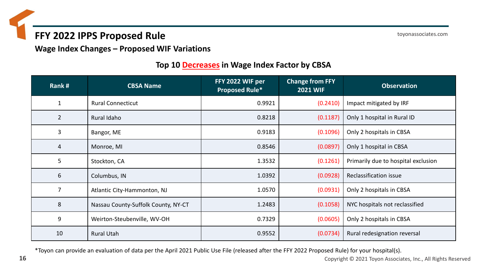toyonassociates.com

**Wage Index Changes – Proposed WIF Variations**

#### **Top 10 Decreases in Wage Index Factor by CBSA**

| Rank#          | <b>CBSA Name</b>                    | FFY 2022 WIF per<br><b>Proposed Rule*</b> | <b>Change from FFY</b><br><b>2021 WIF</b> | <b>Observation</b>                  |
|----------------|-------------------------------------|-------------------------------------------|-------------------------------------------|-------------------------------------|
| $\mathbf{1}$   | <b>Rural Connecticut</b>            | 0.9921                                    | (0.2410)                                  | Impact mitigated by IRF             |
| $\overline{2}$ | Rural Idaho                         | 0.8218                                    | (0.1187)                                  | Only 1 hospital in Rural ID         |
| 3              | Bangor, ME                          | 0.9183                                    | (0.1096)                                  | Only 2 hospitals in CBSA            |
| 4              | Monroe, MI                          | 0.8546                                    | (0.0897)                                  | Only 1 hospital in CBSA             |
| 5              | Stockton, CA                        | 1.3532                                    | (0.1261)                                  | Primarily due to hospital exclusion |
| 6              | Columbus, IN                        | 1.0392                                    | (0.0928)                                  | Reclassification issue              |
| 7              | Atlantic City-Hammonton, NJ         | 1.0570                                    | (0.0931)                                  | Only 2 hospitals in CBSA            |
| 8              | Nassau County-Suffolk County, NY-CT | 1.2483                                    | (0.1058)                                  | NYC hospitals not reclassified      |
| 9              | Weirton-Steubenville, WV-OH         | 0.7329                                    | (0.0605)                                  | Only 2 hospitals in CBSA            |
| 10             | <b>Rural Utah</b>                   | 0.9552                                    | (0.0734)                                  | Rural redesignation reversal        |

\*Toyon can provide an evaluation of data per the April 2021 Public Use File (released after the FFY 2022 Proposed Rule) for your hospital(s).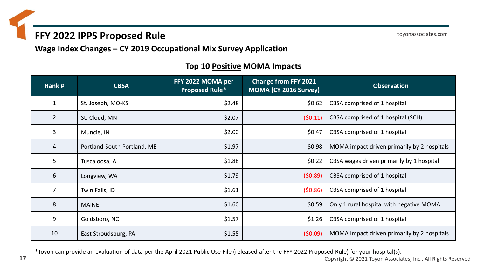toyonassociates.com

**Wage Index Changes – CY 2019 Occupational Mix Survey Application**

| Rank#          | <b>CBSA</b>                 | FFY 2022 MOMA per<br><b>Proposed Rule*</b> | <b>Change from FFY 2021</b><br>MOMA (CY 2016 Survey) | <b>Observation</b>                          |
|----------------|-----------------------------|--------------------------------------------|------------------------------------------------------|---------------------------------------------|
| $\mathbf{1}$   | St. Joseph, MO-KS           | \$2.48                                     | \$0.62                                               | CBSA comprised of 1 hospital                |
| $\overline{2}$ | St. Cloud, MN               | \$2.07                                     | (50.11)                                              | CBSA comprised of 1 hospital (SCH)          |
| 3              | Muncie, IN                  | \$2.00                                     | \$0.47                                               | CBSA comprised of 1 hospital                |
| 4              | Portland-South Portland, ME | \$1.97                                     | \$0.98                                               | MOMA impact driven primarily by 2 hospitals |
| 5              | Tuscaloosa, AL              | \$1.88                                     | \$0.22                                               | CBSA wages driven primarily by 1 hospital   |
| 6              | Longview, WA                | \$1.79                                     | (50.89)                                              | CBSA comprised of 1 hospital                |
| $\overline{7}$ | Twin Falls, ID              | \$1.61                                     | (50.86)                                              | CBSA comprised of 1 hospital                |
| 8              | <b>MAINE</b>                | \$1.60                                     | \$0.59                                               | Only 1 rural hospital with negative MOMA    |
| 9              | Goldsboro, NC               | \$1.57                                     | \$1.26                                               | CBSA comprised of 1 hospital                |
| 10             | East Stroudsburg, PA        | \$1.55                                     | (50.09)                                              | MOMA impact driven primarily by 2 hospitals |

#### **Top 10 Positive MOMA Impacts**

\*Toyon can provide an evaluation of data per the April 2021 Public Use File (released after the FFY 2022 Proposed Rule) for your hospital(s).

**17** Copyright © 2021 Toyon Associates, Inc., All Rights Reserved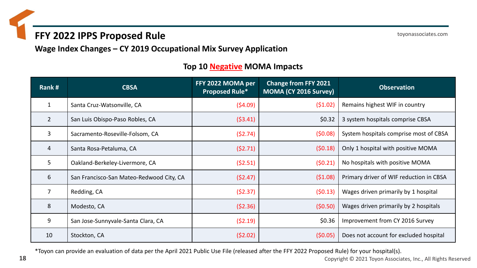toyonassociates.com

**Wage Index Changes – CY 2019 Occupational Mix Survey Application**

#### **Top 10 Negative MOMA Impacts**

| Rank#          | <b>CBSA</b>                              | FFY 2022 MOMA per<br><b>Proposed Rule*</b> | <b>Change from FFY 2021</b><br>MOMA (CY 2016 Survey) | <b>Observation</b>                      |
|----------------|------------------------------------------|--------------------------------------------|------------------------------------------------------|-----------------------------------------|
|                | Santa Cruz-Watsonville, CA               | (54.09)                                    | (51.02)                                              | Remains highest WIF in country          |
| $\overline{2}$ | San Luis Obispo-Paso Robles, CA          | (53.41)                                    | \$0.32                                               | 3 system hospitals comprise CBSA        |
| 3              | Sacramento-Roseville-Folsom, CA          | (52.74)                                    | (50.08)                                              | System hospitals comprise most of CBSA  |
| 4              | Santa Rosa-Petaluma, CA                  | (52.71)                                    | (50.18)                                              | Only 1 hospital with positive MOMA      |
| 5              | Oakland-Berkeley-Livermore, CA           | (52.51)                                    | (50.21)                                              | No hospitals with positive MOMA         |
| 6              | San Francisco-San Mateo-Redwood City, CA | (52.47)                                    | (51.08)                                              | Primary driver of WIF reduction in CBSA |
|                | Redding, CA                              | (52.37)                                    | (50.13)                                              | Wages driven primarily by 1 hospital    |
| 8              | Modesto, CA                              | (52.36)                                    | (50.50)                                              | Wages driven primarily by 2 hospitals   |
| 9              | San Jose-Sunnyvale-Santa Clara, CA       | (52.19)                                    | \$0.36                                               | Improvement from CY 2016 Survey         |
| 10             | Stockton, CA                             | (52.02)                                    | (50.05)                                              | Does not account for excluded hospital  |

\*Toyon can provide an evaluation of data per the April 2021 Public Use File (released after the FFY 2022 Proposed Rule) for your hospital(s).

**18** Copyright © 2021 Toyon Associates, Inc., All Rights Reserved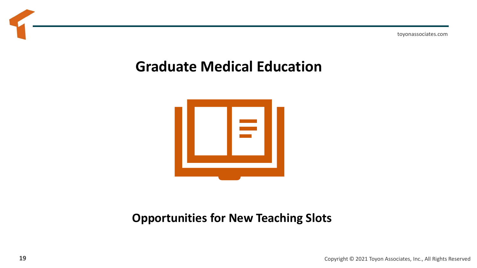toyonassociates.com

## **Graduate Medical Education**



### **Opportunities for New Teaching Slots**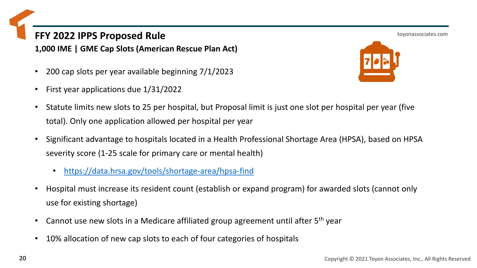**1,000 IME | GME Cap Slots (American Rescue Plan Act)**

- 200 cap slots per year available beginning 7/1/2023
- First year applications due 1/31/2022



- Statute limits new slots to 25 per hospital, but Proposal limit is just one slot per hospital per year (five total). Only one application allowed per hospital per year
- Significant advantage to hospitals located in a Health Professional Shortage Area (HPSA), based on HPSA severity score (1-25 scale for primary care or mental health)
	- <https://data.hrsa.gov/tools/shortage-area/hpsa-find>
- Hospital must increase its resident count (establish or expand program) for awarded slots (cannot only use for existing shortage)
- Cannot use new slots in a Medicare affiliated group agreement until after 5<sup>th</sup> year
- 10% allocation of new cap slots to each of four categories of hospitals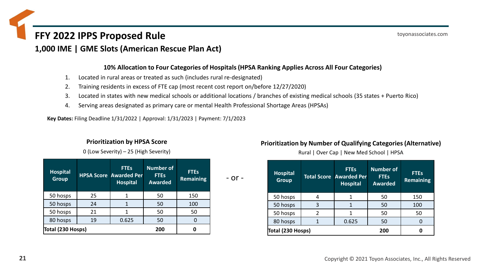**1,000 IME | GME Slots (American Rescue Plan Act)**

#### **10% Allocation to Four Categories of Hospitals (HPSA Ranking Applies Across All Four Categories)**

- 1. Located in rural areas or treated as such (includes rural re-designated)
- 2. Training residents in excess of FTE cap (most recent cost report on/before 12/27/2020)
- 3. Located in states with new medical schools or additional locations / branches of existing medical schools (35 states + Puerto Rico)
- 4. Serving areas designated as primary care or mental Health Professional Shortage Areas (HPSAs)

**Key Dates:** Filing Deadline 1/31/2022 | Approval: 1/31/2023 | Payment: 7/1/2023

#### **Prioritization by HPSA Score**

0 (Low Severity) – 25 (High Severity)

| <b>Hospital</b><br><b>Group</b> |    | <b>FTEs</b><br><b>HPSA Score Awarded Per</b><br><b>Hospital</b> | <b>Number of</b><br><b>FTEs</b><br><b>Awarded</b> | <b>FTEs</b><br><b>Remaining</b> |  |
|---------------------------------|----|-----------------------------------------------------------------|---------------------------------------------------|---------------------------------|--|
| 50 hosps                        | 25 |                                                                 | 50                                                | 150                             |  |
| 50 hosps                        | 24 |                                                                 | 50                                                | 100                             |  |
| 50 hosps                        | 21 |                                                                 | 50                                                | 50                              |  |
| 80 hosps                        | 19 | 0.625                                                           | 50                                                | 0                               |  |
| Total (230 Hosps)               |    |                                                                 | 200                                               | 0                               |  |

**Prioritization by Number of Qualifying Categories (Alternative)**

Rural | Over Cap | New Med School | HPSA

| <b>Hospital</b><br><b>Group</b> |   | <b>FTEs</b><br><b>Total Score Awarded Per</b><br><b>Hospital</b> | <b>Number of</b><br><b>FTEs</b><br><b>Awarded</b> | <b>FTEs</b><br><b>Remaining</b> |
|---------------------------------|---|------------------------------------------------------------------|---------------------------------------------------|---------------------------------|
| 50 hosps                        |   |                                                                  | 50                                                | 150                             |
| 50 hosps                        | 3 |                                                                  | 50                                                | 100                             |
| 50 hosps                        |   |                                                                  | 50                                                | 50                              |
| 80 hosps                        | 1 | 0.625                                                            | 50                                                |                                 |
| Total (230 Hosps)               |   |                                                                  | 200                                               |                                 |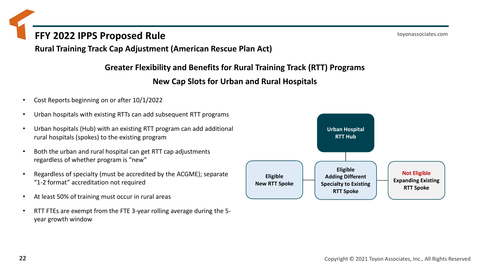**Rural Training Track Cap Adjustment (American Rescue Plan Act)**

**Greater Flexibility and Benefits for Rural Training Track (RTT) Programs**

#### **New Cap Slots for Urban and Rural Hospitals**

- Cost Reports beginning on or after 10/1/2022
- Urban hospitals with existing RTTs can add subsequent RTT programs
- Urban hospitals (Hub) with an existing RTT program can add additional rural hospitals (spokes) to the existing program
- Both the urban and rural hospital can get RTT cap adjustments regardless of whether program is "new"
- Regardless of specialty (must be accredited by the ACGME); separate "1-2 format" accreditation not required
- At least 50% of training must occur in rural areas
- RTT FTEs are exempt from the FTE 3-year rolling average during the 5 year growth window

**Eligible Adding Different Specialty to Existing RTT Spoke Urban Hospital RTT Hub Eligible New RTT Spoke Not Eligible Expanding Existing RTT Spoke**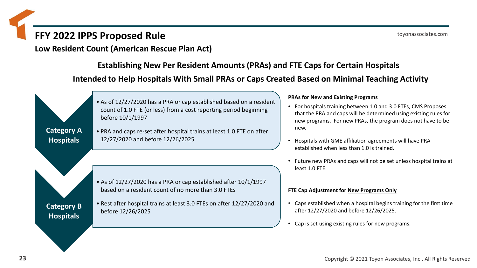**Low Resident Count (American Rescue Plan Act)**

**Establishing New Per Resident Amounts (PRAs) and FTE Caps for Certain Hospitals**

**Intended to Help Hospitals With Small PRAs or Caps Created Based on Minimal Teaching Activity**



#### **PRAs for New and Existing Programs**

- For hospitals training between 1.0 and 3.0 FTEs, CMS Proposes that the PRA and caps will be determined using existing rules for new programs. For new PRAs, the program does not have to be
- Hospitals with GME affiliation agreements will have PRA established when less than 1.0 is trained.
- Future new PRAs and caps will not be set unless hospital trains at least 1.0 FTE.

#### **FTE Cap Adjustment for New Programs Only**

- Caps established when a hospital begins training for the first time after 12/27/2020 and before 12/26/2025.
- Cap is set using existing rules for new programs.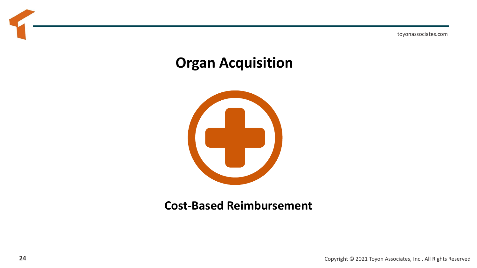toyonassociates.com

## **Organ Acquisition**



### **Cost-Based Reimbursement**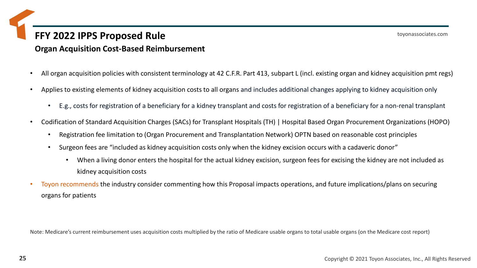### **FFY 2022 IPPS Proposed Rule Organ Acquisition Cost-Based Reimbursement**

- All organ acquisition policies with consistent terminology at 42 C.F.R. Part 413, subpart L (incl. existing organ and kidney acquisition pmt regs)
- Applies to existing elements of kidney acquisition costs to all organs and includes additional changes applying to kidney acquisition only
	- E.g., costs for registration of a beneficiary for a kidney transplant and costs for registration of a beneficiary for a non-renal transplant
- Codification of Standard Acquisition Charges (SACs) for Transplant Hospitals (TH) | Hospital Based Organ Procurement Organizations (HOPO)
	- Registration fee limitation to (Organ Procurement and Transplantation Network) OPTN based on reasonable cost principles
	- Surgeon fees are "included as kidney acquisition costs only when the kidney excision occurs with a cadaveric donor"
		- When a living donor enters the hospital for the actual kidney excision, surgeon fees for excising the kidney are not included as kidney acquisition costs
- Toyon recommends the industry consider commenting how this Proposal impacts operations, and future implications/plans on securing organs for patients

Note: Medicare's current reimbursement uses acquisition costs multiplied by the ratio of Medicare usable organs to total usable organs (on the Medicare cost report)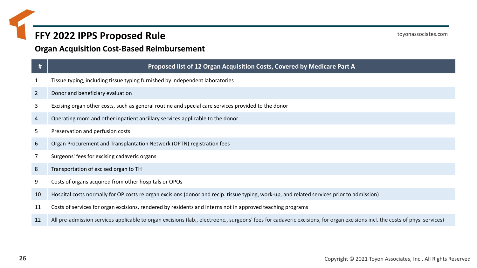#### **Organ Acquisition Cost-Based Reimbursement**

#### **## Proposed list of 12 Organ Acquisition Costs, Covered by Medicare Part A**

- Tissue typing, including tissue typing furnished by independent laboratories
- Donor and beneficiary evaluation
- Excising organ other costs, such as general routine and special care services provided to the donor
- Operating room and other inpatient ancillary services applicable to the donor
- Preservation and perfusion costs
- Organ Procurement and Transplantation Network (OPTN) registration fees
- Surgeons' fees for excising cadaveric organs
- Transportation of excised organ to TH
- Costs of organs acquired from other hospitals or OPOs
- Hospital costs normally for OP costs re organ excisions (donor and recip. tissue typing, work-up, and related services prior to admission)
- Costs of services for organ excisions, rendered by residents and interns not in approved teaching programs
- 12 All pre-admission services applicable to organ excisions (lab., electroenc., surgeons' fees for cadaveric excisions, for organ excisions incl. the costs of phys. services)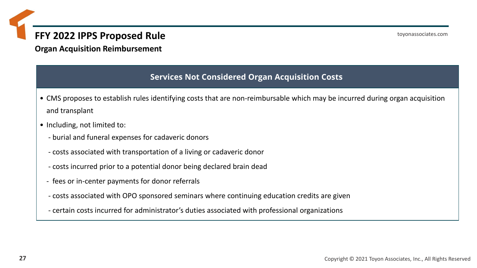**Organ Acquisition Reimbursement**

#### **Services Not Considered Organ Acquisition Costs**

- CMS proposes to establish rules identifying costs that are non-reimbursable which may be incurred during organ acquisition and transplant
- Including, not limited to:
	- burial and funeral expenses for cadaveric donors
	- costs associated with transportation of a living or cadaveric donor
	- costs incurred prior to a potential donor being declared brain dead
	- fees or in-center payments for donor referrals
	- costs associated with OPO sponsored seminars where continuing education credits are given
	- certain costs incurred for administrator's duties associated with professional organizations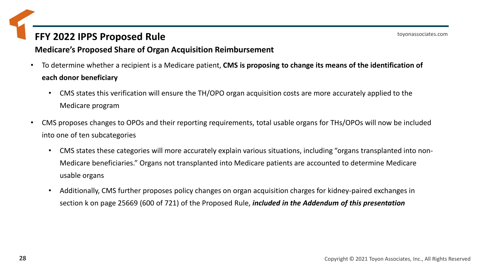#### **Medicare's Proposed Share of Organ Acquisition Reimbursement**

- To determine whether a recipient is a Medicare patient, **CMS is proposing to change its means of the identification of each donor beneficiary**
	- CMS states this verification will ensure the TH/OPO organ acquisition costs are more accurately applied to the Medicare program
- CMS proposes changes to OPOs and their reporting requirements, total usable organs for THs/OPOs will now be included into one of ten subcategories
	- CMS states these categories will more accurately explain various situations, including "organs transplanted into non-Medicare beneficiaries." Organs not transplanted into Medicare patients are accounted to determine Medicare usable organs
	- Additionally, CMS further proposes policy changes on organ acquisition charges for kidney-paired exchanges in section k on page 25669 (600 of 721) of the Proposed Rule, *included in the Addendum of this presentation*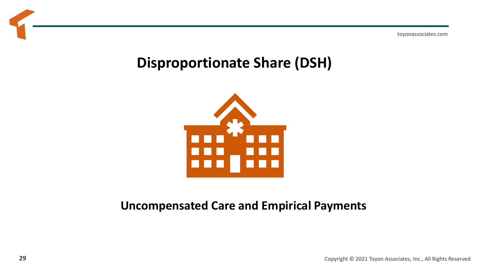toyonassociates.com

## **Disproportionate Share (DSH)**



### **Uncompensated Care and Empirical Payments**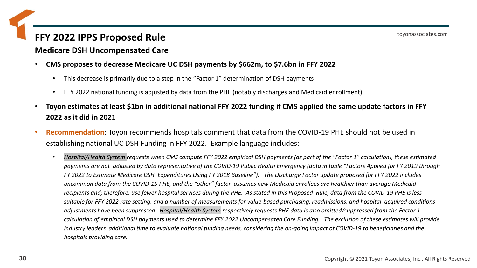#### **Medicare DSH Uncompensated Care**

- **CMS proposes to decrease Medicare UC DSH payments by \$662m, to \$7.6bn in FFY 2022**
	- This decrease is primarily due to a step in the "Factor 1" determination of DSH payments
	- FFY 2022 national funding is adjusted by data from the PHE (notably discharges and Medicaid enrollment)
- **Toyon estimates at least \$1bn in additional national FFY 2022 funding if CMS applied the same update factors in FFY 2022 as it did in 2021**
- **Recommendation**: Toyon recommends hospitals comment that data from the COVID-19 PHE should not be used in establishing national UC DSH Funding in FFY 2022. Example language includes:
	- *Hospital/Health System requests when CMS compute FFY 2022 empirical DSH payments (as part of the "Factor 1" calculation), these estimated payments are not adjusted by data representative of the COVID-19 Public Health Emergency (data in table "Factors Applied for FY 2019 through FY 2022 to Estimate Medicare DSH Expenditures Using FY 2018 Baseline"). The Discharge Factor update proposed for FFY 2022 includes uncommon data from the COVID-19 PHE, and the "other" factor assumes new Medicaid enrollees are healthier than average Medicaid recipients and; therefore, use fewer hospital services during the PHE. As stated in this Proposed Rule, data from the COVID-19 PHE is less suitable for FFY 2022 rate setting, and a number of measurements for value-based purchasing, readmissions, and hospital acquired conditions adjustments have been suppressed. Hospital/Health System respectively requests PHE data is also omitted/suppressed from the Factor 1 calculation of empirical DSH payments used to determine FFY 2022 Uncompensated Care Funding. The exclusion of these estimates will provide industry leaders additional time to evaluate national funding needs, considering the on-going impact of COVID-19 to beneficiaries and the hospitals providing care.*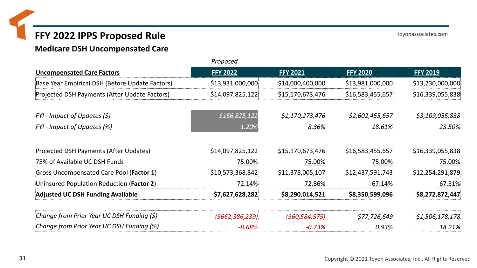**Medicare DSH Uncompensated Care**

|                                                 | Proposed         |                  |                  |                  |  |  |
|-------------------------------------------------|------------------|------------------|------------------|------------------|--|--|
| <b>Uncompensated Care Factors</b>               | <b>FFY 2022</b>  | <b>FFY 2021</b>  | <b>FFY 2020</b>  | <b>FFY 2019</b>  |  |  |
| Base Year Empirical DSH (Before Update Factors) | \$13,931,000,000 | \$14,000,400,000 | \$13,981,000,000 | \$13,230,000,000 |  |  |
| Projected DSH Payments (After Update Factors)   | \$14,097,825,122 | \$15,170,673,476 | \$16,583,455,657 | \$16,339,055,838 |  |  |
| FYI - Impact of Updates (\$)                    | \$166,825,122    | \$1,170,273,476  | \$2,602,455,657  | \$3,109,055,838  |  |  |
| FYI - Impact of Updates (%)                     | 1.20%            | $8.36\%$         | 18.61%           | 23.50%           |  |  |
| Projected DSH Payments (After Updates)          | \$14,097,825,122 | \$15,170,673,476 | \$16,583,455,657 | \$16,339,055,838 |  |  |
| 75% of Available UC DSH Funds                   | 75.00%           | 75.00%           | 75.00%           | 75.00%           |  |  |
| Gross Uncompensated Care Pool (Factor 1)        | \$10,573,368,842 | \$11,378,005,107 | \$12,437,591,743 | \$12,254,291,879 |  |  |
| Uninsured Population Reduction (Factor 2)       | 72.14%           | 72.86%           | 67.14%           | 67.51%           |  |  |
| <b>Adjusted UC DSH Funding Available</b>        | \$7,627,628,282  | \$8,290,014,521  | \$8,350,599,096  | \$8,272,872,447  |  |  |
| Change from Prior Year UC DSH Funding (\$)      | (5662, 386, 239) | (560, 584, 575)  | \$77,726,649     | \$1,506,178,178  |  |  |
| Change from Prior Year UC DSH Funding (%)       | $-8.68%$         | $-0.73%$         | 0.93%            | 18.21%           |  |  |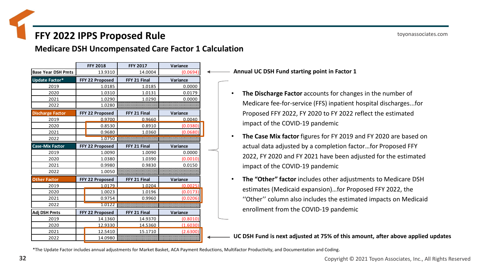**Medicare DSH Uncompensated Care Factor 1 Calculation**

|                           |                 | <b>FFY 2018</b> | <b>FFY 2017</b> | Variance |
|---------------------------|-----------------|-----------------|-----------------|----------|
| <b>Base Year DSH Pmts</b> |                 | 13.9310         | 14.0004         | (0.0694) |
| <b>Update Factor*</b>     |                 | FFY 22 Proposed | FFY 21 Final    | Variance |
| 2019                      |                 | 1.0185          | 1.0185          | 0.0000   |
| 2020                      |                 | 1.0310          | 1.0131          | 0.0179   |
| 2021                      |                 | 1.0290          | 1.0290          | 0.0000   |
| 2022                      |                 | 1.0280          |                 |          |
| <b>Discharge Factor</b>   |                 | FFY 22 Proposed | FFY 21 Final    | Variance |
| 2019                      |                 | 0.9700          | 0.9660          | 0.0040   |
| 2020                      |                 | 0.8530          | 0.8910          | (0.0380) |
| 2021                      |                 | 0.9680          | 1.0360          | (0.0680) |
| 2022                      |                 | 1.0750          |                 |          |
| <b>Case-Mix Factor</b>    |                 | FFY 22 Proposed | FFY 21 Final    | Variance |
| 2019                      |                 | 1.0090          | 1.0090          | 0.0000   |
| 2020                      |                 | 1.0380          | 1.0390          | (0.0010) |
| 2021                      |                 | 0.9980          | 0.9830          | 0.0150   |
| 2022                      | 1.0050          |                 |                 |          |
| <b>Other Factor</b>       |                 | FFY 22 Proposed | FFY 21 Final    | Variance |
| 2019                      |                 | 1.0179          | 1.0204          | (0.0025) |
| 2020                      |                 | 1.0023          | 1.0196          | (0.0173) |
| 2021                      |                 | 0.9754          | 0.9960          | (0.0206) |
| 2022                      |                 | 1.0122          |                 |          |
| Adj DSH Pmts              | FFY 22 Proposed |                 | FFY 21 Final    | Variance |
| 2019                      |                 | 14.1360         | 14.9370         | (0.8010) |
| 2020                      |                 | 12.9330         | 14.5360         | (1.6030) |
| 2021                      |                 | 12.5410         | 15.1710         | (2.6300) |
| 2022                      |                 | 14.0980         |                 |          |

**Annual UC DSH Fund starting point in Factor 1**

- **The Discharge Factor** accounts for changes in the number of Medicare fee-for-service (FFS) inpatient hospital discharges...for Proposed FFY 2022, FY 2020 to FY 2022 reflect the estimated impact of the COVID-19 pandemic
- **The Case Mix factor** figures for FY 2019 and FY 2020 are based on actual data adjusted by a completion factor…for Proposed FFY 2022, FY 2020 and FY 2021 have been adjusted for the estimated impact of the COVID-19 pandemic
- **The "Other" factor** includes other adjustments to Medicare DSH estimates (Medicaid expansion)…for Proposed FFY 2022, the ''Other'' column also includes the estimated impacts on Medicaid enrollment from the COVID-19 pandemic

**UC DSH Fund is next adjusted at 75% of this amount, after above applied updates**

\*The Update Factor includes annual adjustments for Market Basket, ACA Payment Reductions, Multifactor Productivity, and Documentation and Coding.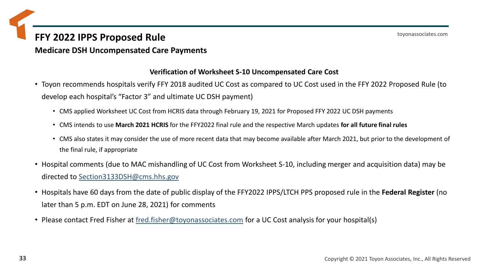#### **Medicare DSH Uncompensated Care Payments**

#### **Verification of Worksheet S-10 Uncompensated Care Cost**

- Toyon recommends hospitals verify FFY 2018 audited UC Cost as compared to UC Cost used in the FFY 2022 Proposed Rule (to develop each hospital's "Factor 3" and ultimate UC DSH payment)
	- CMS applied Worksheet UC Cost from HCRIS data through February 19, 2021 for Proposed FFY 2022 UC DSH payments
	- CMS intends to use **March 2021 HCRIS** for the FFY2022 final rule and the respective March updates **for all future final rules**
	- CMS also states it may consider the use of more recent data that may become available after March 2021, but prior to the development of the final rule, if appropriate
- Hospital comments (due to MAC mishandling of UC Cost from Worksheet S-10, including merger and acquisition data) may be directed to [Section3133DSH@cms.hhs.gov](mailto:Section3133DSH@cms.hhs.gov)
- Hospitals have 60 days from the date of public display of the FFY2022 IPPS/LTCH PPS proposed rule in the **Federal Register** (no later than 5 p.m. EDT on June 28, 2021) for comments
- Please contact Fred Fisher at [fred.fisher@toyonassociates.com](mailto:fred.fisher@toyonassociates.com) for a UC Cost analysis for your hospital(s)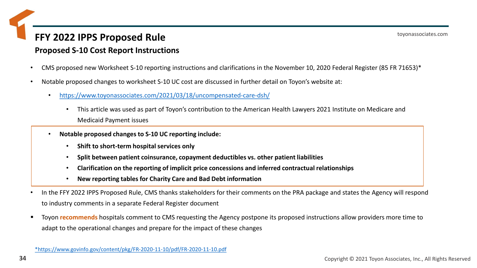### **Proposed S-10 Cost Report Instructions**

- CMS proposed new Worksheet S-10 reporting instructions and clarifications in the November 10, 2020 Federal Register (85 FR 71653)\*
- Notable proposed changes to worksheet S-10 UC cost are discussed in further detail on Toyon's website at:
	- <https://www.toyonassociates.com/2021/03/18/uncompensated-care-dsh/>
		- This article was used as part of Toyon's contribution to the American Health Lawyers 2021 Institute on Medicare and Medicaid Payment issues
	- **Notable proposed changes to S-10 UC reporting include:**
		- **Shift to short-term hospital services only**
		- **Split between patient coinsurance, copayment deductibles vs. other patient liabilities**
		- **Clarification on the reporting of implicit price concessions and inferred contractual relationships**
		- **New reporting tables for Charity Care and Bad Debt information**
- In the FFY 2022 IPPS Proposed Rule, CMS thanks stakeholders for their comments on the PRA package and states the Agency will respond to industry comments in a separate Federal Register document
- Toyon **recommends** hospitals comment to CMS requesting the Agency postpone its proposed instructions allow providers more time to adapt to the operational changes and prepare for the impact of these changes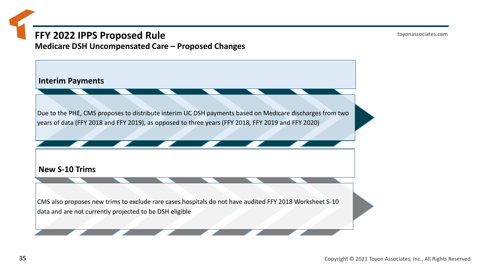toyonassociates.com

**Medicare DSH Uncompensated Care – Proposed Changes**

**Interim Payments**

Due to the PHE, CMS proposes to distribute interim UC DSH payments based on Medicare discharges from two years of data (FFY 2018 and FFY 2019), as opposed to three years (FFY 2018, FFY 2019 and FFY 2020)

**New S-10 Trims**

CMS also proposes new trims to exclude rare cases hospitals do not have audited FFY 2018 Worksheet S-10 data and are not currently projected to be DSH eligible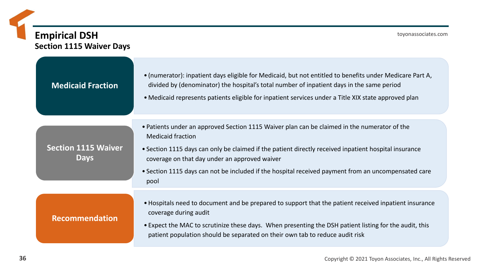## **Empirical DSH Section 1115 Waiver Days**

| <b>Medicaid Fraction</b>                  | • (numerator): inpatient days eligible for Medicaid, but not entitled to benefits under Medicare Part A,<br>divided by (denominator) the hospital's total number of inpatient days in the same period<br>• Medicaid represents patients eligible for inpatient services under a Title XIX state approved plan                                                                                     |
|-------------------------------------------|---------------------------------------------------------------------------------------------------------------------------------------------------------------------------------------------------------------------------------------------------------------------------------------------------------------------------------------------------------------------------------------------------|
| <b>Section 1115 Waiver</b><br><b>Days</b> | • Patients under an approved Section 1115 Waiver plan can be claimed in the numerator of the<br><b>Medicaid fraction</b><br>• Section 1115 days can only be claimed if the patient directly received inpatient hospital insurance<br>coverage on that day under an approved waiver<br>• Section 1115 days can not be included if the hospital received payment from an uncompensated care<br>pool |
| Recommendation                            | • Hospitals need to document and be prepared to support that the patient received inpatient insurance<br>coverage during audit<br>• Expect the MAC to scrutinize these days. When presenting the DSH patient listing for the audit, this<br>patient population should be separated on their own tab to reduce audit risk                                                                          |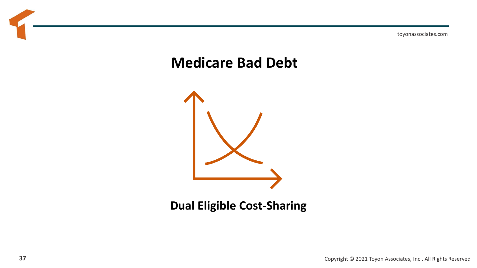## **Medicare Bad Debt**



### **Dual Eligible Cost-Sharing**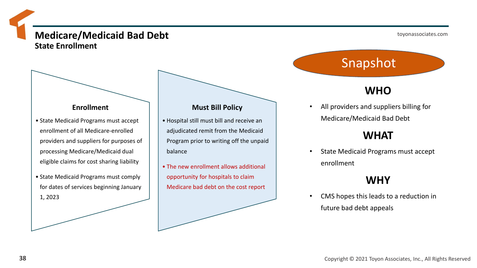### **Medicare/Medicaid Bad Debt State Enrollment**

#### **Enrollment**

- State Medicaid Programs must accept enrollment of all Medicare-enrolled providers and suppliers for purposes of processing Medicare/Medicaid dual eligible claims for cost sharing liability
- State Medicaid Programs must comply for dates of services beginning January 1, 2023

#### **Must Bill Policy**

- Hospital still must bill and receive an adjudicated remit from the Medicaid Program prior to writing off the unpaid balance
- The new enrollment allows additional opportunity for hospitals to claim Medicare bad debt on the cost report

Snapshot

### **WHO**

• All providers and suppliers billing for Medicare/Medicaid Bad Debt

### **WHAT**

State Medicaid Programs must accept enrollment

### **WHY**

• CMS hopes this leads to a reduction in future bad debt appeals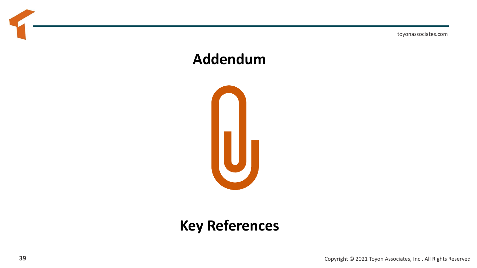toyonassociates.com

## **Addendum**



## **Key References**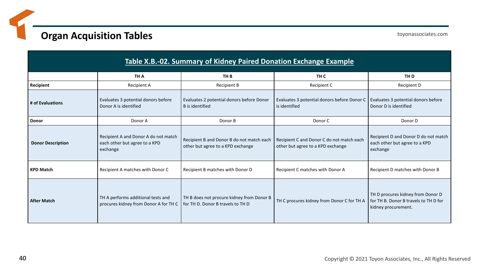### **Organ Acquisition Tables**

toyonassociates.com

| Table X.B.-02. Summary of Kidney Paired Donation Exchange Example |                                                                                   |                                                                                |                                                                                |                                                                                                   |  |  |
|-------------------------------------------------------------------|-----------------------------------------------------------------------------------|--------------------------------------------------------------------------------|--------------------------------------------------------------------------------|---------------------------------------------------------------------------------------------------|--|--|
|                                                                   | TH A                                                                              | TH B                                                                           | TH C                                                                           | TH D                                                                                              |  |  |
| Recipient                                                         | Recipient A                                                                       | <b>Recipient B</b>                                                             | Recipient C                                                                    | Recipient D                                                                                       |  |  |
| # of Evaluations                                                  | Evaluates 3 potential donors before<br>Donor A is identified                      | Evaluates 2 potential donors before Donor<br>B is identified                   | Evaluates 3 potential donors before Donor C<br>is identified                   | Evaluates 3 potential donors before<br>Donor D is identified                                      |  |  |
| Donor                                                             | Donor A                                                                           | Donor B                                                                        | Donor C                                                                        | Donor D                                                                                           |  |  |
| <b>Donor Description</b>                                          | Recipient A and Donor A do not match<br>each other but agree to a KPD<br>exchange | Recipient B and Donor B do not match each<br>other but agree to a KPD exchange | Recipient C and Donor C do not match each<br>other but agree to a KPD exchange | Recipient D and Donor D do not match<br>each other but agree to a KPD<br>exchange                 |  |  |
| <b>KPD Match</b>                                                  | Recipient A matches with Donor C                                                  | Recipient B matches with Donor D                                               | Recipient C matches with Donor A                                               | Recipient D matches with Donor B                                                                  |  |  |
| <b>After Match</b>                                                | TH A performs additional tests and<br>procures kidney from Donor A for TH C       | TH B does not procure kidney from Donor B<br>for TH D. Donor B travels to TH D | TH C procures kidney from Donor C for TH A                                     | TH D procures kidney from Donor D<br>for TH B. Donor B travels to TH D for<br>kidney procurement. |  |  |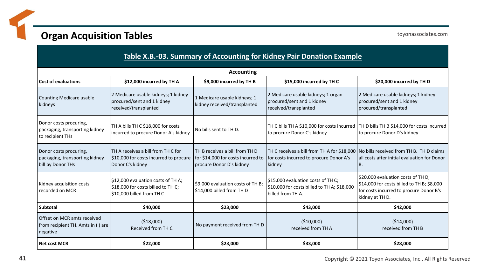### **Organ Acquisition Tables**

toyonassociates.com

| Table X.B.-03. Summary of Accounting for Kidney Pair Donation Example<br><b>Accounting</b> |                                                                                                      |                                                                                                  |                                                                                                                                             |                                                                                                                                                |  |  |
|--------------------------------------------------------------------------------------------|------------------------------------------------------------------------------------------------------|--------------------------------------------------------------------------------------------------|---------------------------------------------------------------------------------------------------------------------------------------------|------------------------------------------------------------------------------------------------------------------------------------------------|--|--|
|                                                                                            |                                                                                                      |                                                                                                  |                                                                                                                                             |                                                                                                                                                |  |  |
| <b>Counting Medicare usable</b><br>kidneys                                                 | 2 Medicare usable kidneys; 1 kidney<br>procured/sent and 1 kidney<br>received/transplanted           | 1 Medicare usable kidneys; 1<br>kidney received/transplanted                                     | 2 Medicare usable kidneys; 1 organ<br>procured/sent and 1 kidney<br>received/transplanted                                                   | 2 Medicare usable kidneys; 1 kidney<br>procured/sent and 1 kidney<br>procured/transplanted                                                     |  |  |
| Donor costs procuring,<br>packaging, transporting kidney<br>to recipient THs               | TH A bills TH C \$18,000 for costs<br>incurred to procure Donor A's kidney                           | No bills sent to TH D.                                                                           | to procure Donor C's kidney                                                                                                                 | TH C bills TH A \$10,000 for costs incurred TH D bills TH B \$14,000 for costs incurred<br>to procure Donor D's kidney                         |  |  |
| Donor costs procuring,<br>packaging, transporting kidney<br>bill by Donor THs              | TH A receives a bill from TH C for<br>\$10,000 for costs incurred to procure<br>Donor C's kidney     | TH B receives a bill from TH D<br>for \$14,000 for costs incurred to<br>procure Donor D's kidney | TH C receives a bill from TH A for \$18,000   No bills received from TH B. TH D claims<br>for costs incurred to procure Donor A's<br>kidney | all costs after initial evaluation for Donor<br>В.                                                                                             |  |  |
| Kidney acquisition costs<br>recorded on MCR                                                | \$12,000 evaluation costs of TH A;<br>\$18,000 for costs billed to TH C;<br>\$10,000 billed from THC | \$9,000 evaluation costs of TH B;<br>\$14,000 billed from TH D                                   | \$15,000 evaluation costs of TH C;<br>\$10,000 for costs billed to TH A; \$18,000<br>billed from TH A.                                      | \$20,000 evaluation costs of TH D;<br>\$14,000 for costs billed to TH B; \$8,000<br>for costs incurred to procure Donor B's<br>kidney at TH D. |  |  |
| Subtotal                                                                                   | \$40,000                                                                                             | \$23,000                                                                                         | \$43,000                                                                                                                                    | \$42,000                                                                                                                                       |  |  |
| Offset on MCR amts received<br>from recipient TH. Amts in () are<br>negative               | ( \$18,000)<br>Received from TH C                                                                    | No payment received from TH D                                                                    | ( \$10,000)<br>received from TH A                                                                                                           | ( \$14,000)<br>received from TH B                                                                                                              |  |  |
| Net cost MCR                                                                               | \$22,000                                                                                             | \$23,000                                                                                         | \$33,000                                                                                                                                    | \$28,000                                                                                                                                       |  |  |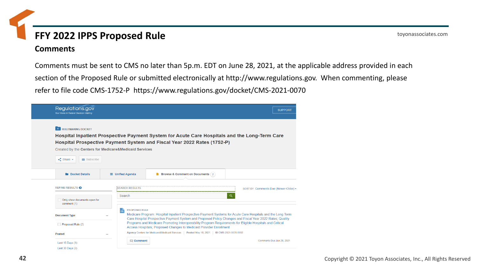#### **Comments**

Comments must be sent to CMS no later than 5p.m. EDT on June 28, 2021, at the applicable address provided in each section of the Proposed Rule or submitted electronically at http://www.regulations.gov. When commenting, please refer to file code CMS-1752-P https://www.regulations.gov/docket/CMS-2021-0070

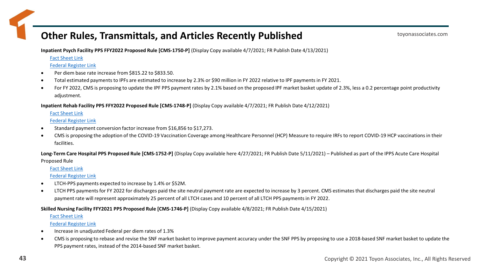### **Other Rules, Transmittals, and Articles Recently Published**

**Inpatient Psych Facility PPS FFY2022 Proposed Rule [CMS-1750-P]** (Display Copy available 4/7/2021; FR Publish Date 4/13/2021)

[Fact Sheet Link](https://www.cms.gov/newsroom/fact-sheets/fy-2022-proposed-medicare-payment-and-quality-reporting-updates-inpatient-psychiatric-facilities-cms)

[Federal Register Link](https://www.federalregister.gov/documents/2021/04/13/2021-07433/medicare-program-fy-2022-inpatient-psychiatric-facilities-prospective-payment-system-and-quality)

- Per diem base rate increase from \$815.22 to \$833.50.
- Total estimated payments to IPFs are estimated to increase by 2.3% or \$90 million in FY 2022 relative to IPF payments in FY 2021.
- For FY 2022, CMS is proposing to update the IPF PPS payment rates by 2.1% based on the proposed IPF market basket update of 2.3%, less a 0.2 percentage point productivity adjustment.

**Inpatient Rehab Facility PPS FFY2022 Proposed Rule [CMS-1748-P]** (Display Copy available 4/7/2021; FR Publish Date 4/12/2021)

[Fact Sheet Link](https://www.cms.gov/newsroom/fact-sheets/fiscal-year-fy-2022-inpatient-rehabilitation-facility-irf-prospective-payment-system-pps-proposed)

[Federal Register Link](https://www.federalregister.gov/documents/2021/04/12/2021-07343/medicare-program-inpatient-rehabilitation-facility-prospective-payment-system-for-federal-fiscal)

- Standard payment conversion factor increase from \$16,856 to \$17,273.
- CMS is proposing the adoption of the COVID-19 Vaccination Coverage among Healthcare Personnel (HCP) Measure to require IRFs to report COVID-19 HCP vaccinations in their facilities.

**Long-Term Care Hospital PPS Proposed Rule [CMS-1752-P]** (Display Copy available here 4/27/2021; FR Publish Date 5/11/2021) – Published as part of the IPPS Acute Care Hospital Proposed Rule

[Fact Sheet Link](https://www.cms.gov/newsroom/fact-sheets/fiscal-year-fy-2022-medicare-hospital-inpatient-prospective-payment-system-ipps-and-long-term-care)

[Federal Register Link](https://www.federalregister.gov/documents/2021/05/10/2021-08888/medicare-program-hospital-inpatient-prospective-payment-systems-for-acute-care-hospitals-and-the)

- LTCH-PPS payments expected to increase by 1.4% or \$52M.
- LTCH PPS payments for FY 2022 for discharges paid the site neutral payment rate are expected to increase by 3 percent. CMS estimates that discharges paid the site neutral payment rate will represent approximately 25 percent of all LTCH cases and 10 percent of all LTCH PPS payments in FY 2022.

#### **Skilled Nursing Facility FFY2021 PPS Proposed Rule [CMS-1746-P]** (Display Copy available 4/8/2021; FR Publish Date 4/15/2021)

[Fact Sheet Link](https://www.cms.gov/newsroom/fact-sheets/fiscal-year-fy-2022-skilled-nursing-facility-prospective-payment-system-proposed-rule-cms-1746-p)

[Federal Register Link](https://www.federalregister.gov/documents/2021/04/15/2021-07556/medicare-program-prospective-payment-system-and-consolidated-billing-for-skilled-nursing-facilities)

- Increase in unadjusted Federal per diem rates of 1.3%
- CMS is proposing to rebase and revise the SNF market basket to improve payment accuracy under the SNF PPS by proposing to use a 2018-based SNF market basket to update the PPS payment rates, instead of the 2014-based SNF market basket.